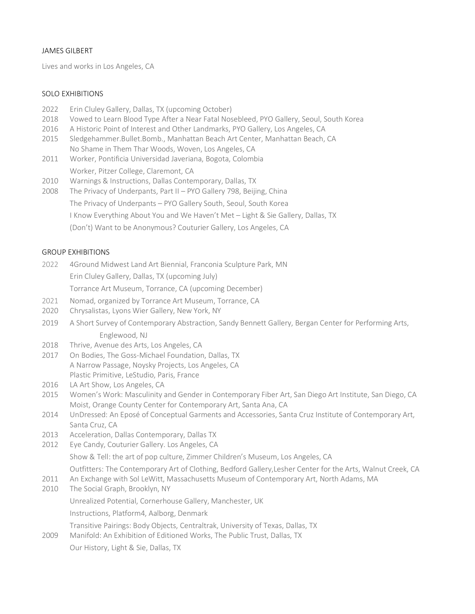# JAMES GILBERT

Lives and works in Los Angeles, CA

## SOLO EXHIBITIONS

- 2022 Erin Cluley Gallery, Dallas, TX (upcoming October)
- 2018 Vowed to Learn Blood Type After a Near Fatal Nosebleed, PYO Gallery, Seoul, South Korea
- 2016 A Historic Point of Interest and Other Landmarks, PYO Gallery, Los Angeles, CA
- 2015 Sledgehammer.Bullet.Bomb., Manhattan Beach Art Center, Manhattan Beach, CA No Shame in Them Thar Woods, Woven, Los Angeles, CA
- 2011 Worker, Pontificia Universidad Javeriana, Bogota, Colombia Worker, Pitzer College, Claremont, CA
- 2010 Warnings & Instructions, Dallas Contemporary, Dallas, TX
- 2008 The Privacy of Underpants, Part II PYO Gallery 798, Beijing, China
	- The Privacy of Underpants PYO Gallery South, Seoul, South Korea
		- I Know Everything About You and We Haven't Met Light & Sie Gallery, Dallas, TX
		- (Don't) Want to be Anonymous? Couturier Gallery, Los Angeles, CA

### GROUP EXHIBITIONS

- 2022 4Ground Midwest Land Art Biennial, Franconia Sculpture Park, MN Erin Cluley Gallery, Dallas, TX (upcoming July) Torrance Art Museum, Torrance, CA (upcoming December)
- 2021 Nomad, organized by Torrance Art Museum, Torrance, CA
- 2020 Chrysalistas, Lyons Wier Gallery, New York, NY
- 2019 A Short Survey of Contemporary Abstraction, Sandy Bennett Gallery, Bergan Center for Performing Arts, Englewood, NJ
- 2018 Thrive, Avenue des Arts, Los Angeles, CA
- 2017 On Bodies, The Goss-Michael Foundation, Dallas, TX A Narrow Passage, Noysky Projects, Los Angeles, CA Plastic Primitive, LeStudio, Paris, France
- 2016 LA Art Show, Los Angeles, CA
- 2015 Women's Work: Masculinity and Gender in Contemporary Fiber Art, San Diego Art Institute, San Diego, CA Moist, Orange County Center for Contemporary Art, Santa Ana, CA
- 2014 UnDressed: An Eposé of Conceptual Garments and Accessories, Santa Cruz Institute of Contemporary Art, Santa Cruz, CA
- 2013 Acceleration, Dallas Contemporary, Dallas TX
- 2012 Eye Candy, Couturier Gallery. Los Angeles, CA

Show & Tell: the art of pop culture, Zimmer Children's Museum, Los Angeles, CA

Outfitters: The Contemporary Art of Clothing, Bedford Gallery,Lesher Center for the Arts, Walnut Creek, CA

- 2011 An Exchange with Sol LeWitt, Massachusetts Museum of Contemporary Art, North Adams, MA
- 2010 The Social Graph, Brooklyn, NY Unrealized Potential, Cornerhouse Gallery, Manchester, UK Instructions, Platform4, Aalborg, Denmark Transitive Pairings: Body Objects, Centraltrak, University of Texas, Dallas, TX 2009 Manifold: An Exhibition of Editioned Works, The Public Trust, Dallas, TX
	- Our History, Light & Sie, Dallas, TX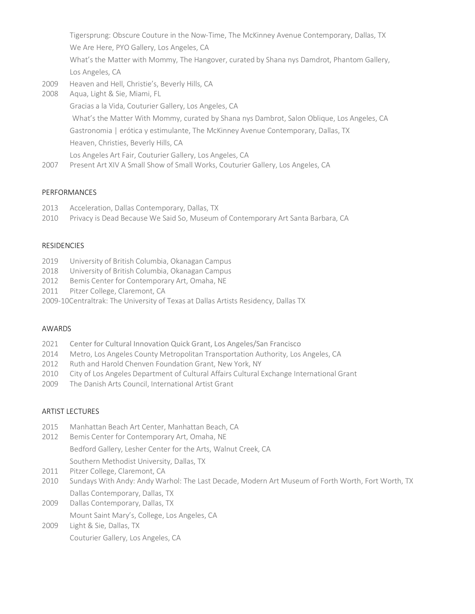Tigersprung: Obscure Couture in the Now-Time, The McKinney Avenue Contemporary, Dallas, TX We Are Here, PYO Gallery, Los Angeles, CA What's the Matter with Mommy, The Hangover, curated by Shana nys Damdrot, Phantom Gallery, Los Angeles, CA

- 2009 Heaven and Hell, Christie's, Beverly Hills, CA
- 2008 Aqua, Light & Sie, Miami, FL Gracias a la Vida, Couturier Gallery, Los Angeles, CA What's the Matter With Mommy, curated by Shana nys Dambrot, Salon Oblique, Los Angeles, CA Gastronomia | erótica y estimulante, The McKinney Avenue Contemporary, Dallas, TX Heaven, Christies, Beverly Hills, CA Los Angeles Art Fair, Couturier Gallery, Los Angeles, CA
- 2007 Present Art XIV A Small Show of Small Works, Couturier Gallery, Los Angeles, CA

### PERFORMANCES

- 2013 Acceleration, Dallas Contemporary, Dallas, TX
- 2010 Privacy is Dead Because We Said So, Museum of Contemporary Art Santa Barbara, CA

#### **RESIDENCIES**

- 2019 University of British Columbia, Okanagan Campus
- 2018 University of British Columbia, Okanagan Campus
- 2012 Bemis Center for Contemporary Art, Omaha, NE
- 2011 Pitzer College, Claremont, CA
- 2009-10Centraltrak: The University of Texas at Dallas Artists Residency, Dallas TX

#### AWARDS

- 2021 Center for Cultural Innovation Quick Grant, Los Angeles/San Francisco
- 2014 Metro, Los Angeles County Metropolitan Transportation Authority, Los Angeles, CA
- 2012 Ruth and Harold Chenven Foundation Grant, New York, NY
- 2010 City of Los Angeles Department of Cultural Affairs Cultural Exchange International Grant
- 2009 The Danish Arts Council, International Artist Grant

## ARTIST LECTURES

- 2015 Manhattan Beach Art Center, Manhattan Beach, CA
- 2012 Bemis Center for Contemporary Art, Omaha, NE

Bedford Gallery, Lesher Center for the Arts, Walnut Creek, CA

- Southern Methodist University, Dallas, TX
- 2011 Pitzer College, Claremont, CA
- 2010 Sundays With Andy: Andy Warhol: The Last Decade, Modern Art Museum of Forth Worth, Fort Worth, TX Dallas Contemporary, Dallas, TX
- 2009 Dallas Contemporary, Dallas, TX Mount Saint Mary's, College, Los Angeles, CA
- 2009 Light & Sie, Dallas, TX Couturier Gallery, Los Angeles, CA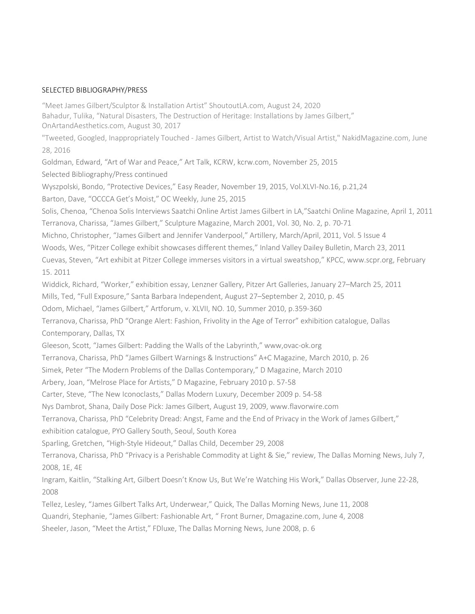#### SELECTED BIBLIOGRAPHY/PRESS

"Meet James Gilbert/Sculptor & Installation Artist" ShoutoutLA.com, August 24, 2020 Bahadur, Tulika, "Natural Disasters, The Destruction of Heritage: Installations by James Gilbert," OnArtandAesthetics.com, August 30, 2017

"Tweeted, Googled, Inappropriately Touched - James Gilbert, Artist to Watch/Visual Artist," NakidMagazine.com, June 28, 2016

Goldman, Edward, "Art of War and Peace," Art Talk, KCRW, kcrw.com, November 25, 2015

Selected Bibliography/Press continued

Wyszpolski, Bondo, "Protective Devices," Easy Reader, November 19, 2015, Vol.XLVI-No.16, p.21,24

Barton, Dave, "OCCCA Get's Moist," OC Weekly, June 25, 2015

Solis, Chenoa, "Chenoa Solis Interviews Saatchi Online Artist James Gilbert in LA,"Saatchi Online Magazine, April 1, 2011 Terranova, Charissa, "James Gilbert," Sculpture Magazine, March 2001, Vol. 30, No. 2, p. 70-71

Michno, Christopher, "James Gilbert and Jennifer Vanderpool," Artillery, March/April, 2011, Vol. 5 Issue 4

Woods, Wes, "Pitzer College exhibit showcases different themes," Inland Valley Dailey Bulletin, March 23, 2011

Cuevas, Steven, "Art exhibit at Pitzer College immerses visitors in a virtual sweatshop," KPCC, www.scpr.org, February 15. 2011

Widdick, Richard, "Worker," exhibition essay, Lenzner Gallery, Pitzer Art Galleries, January 27–March 25, 2011

Mills, Ted, "Full Exposure," Santa Barbara Independent, August 27–September 2, 2010, p. 45

Odom, Michael, "James Gilbert," Artforum, v. XLVII, NO. 10, Summer 2010, p.359-360

Terranova, Charissa, PhD "Orange Alert: Fashion, Frivolity in the Age of Terror" exhibition catalogue, Dallas Contemporary, Dallas, TX

Gleeson, Scott, "James Gilbert: Padding the Walls of the Labyrinth," www,ovac-ok.org

Terranova, Charissa, PhD "James Gilbert Warnings & Instructions" A+C Magazine, March 2010, p. 26

Simek, Peter "The Modern Problems of the Dallas Contemporary," D Magazine, March 2010

Arbery, Joan, "Melrose Place for Artists," D Magazine, February 2010 p. 57-58

Carter, Steve, "The New Iconoclasts," Dallas Modern Luxury, December 2009 p. 54-58

Nys Dambrot, Shana, Daily Dose Pick: James Gilbert, August 19, 2009, www.flavorwire.com

Terranova, Charissa, PhD "Celebrity Dread: Angst, Fame and the End of Privacy in the Work of James Gilbert,"

exhibition catalogue, PYO Gallery South, Seoul, South Korea

Sparling, Gretchen, "High-Style Hideout," Dallas Child, December 29, 2008

Terranova, Charissa, PhD "Privacy is a Perishable Commodity at Light & Sie," review, The Dallas Morning News, July 7, 2008, 1E, 4E

Ingram, Kaitlin, "Stalking Art, Gilbert Doesn't Know Us, But We're Watching His Work," Dallas Observer, June 22-28, 2008

Tellez, Lesley, "James Gilbert Talks Art, Underwear," Quick, The Dallas Morning News, June 11, 2008 Quandri, Stephanie, "James Gilbert: Fashionable Art, " Front Burner, Dmagazine.com, June 4, 2008 Sheeler, Jason, "Meet the Artist," FDluxe, The Dallas Morning News, June 2008, p. 6